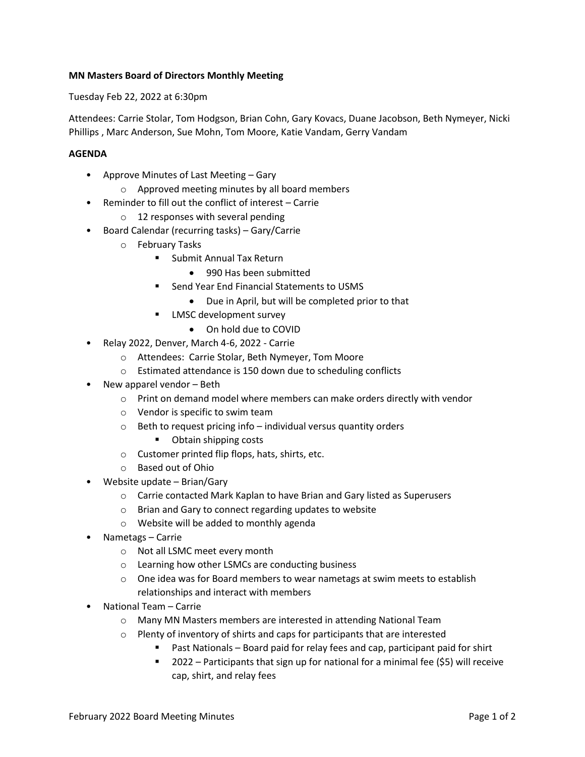## **MN Masters Board of Directors Monthly Meeting**

Tuesday Feb 22, 2022 at 6:30pm

Attendees: Carrie Stolar, Tom Hodgson, Brian Cohn, Gary Kovacs, Duane Jacobson, Beth Nymeyer, Nicki Phillips , Marc Anderson, Sue Mohn, Tom Moore, Katie Vandam, Gerry Vandam

## **AGENDA**

- Approve Minutes of Last Meeting Gary
	- o Approved meeting minutes by all board members
- Reminder to fill out the conflict of interest Carrie
	- o 12 responses with several pending
- Board Calendar (recurring tasks) Gary/Carrie
	- o February Tasks
		- Submit Annual Tax Return
			- 990 Has been submitted
		- Send Year End Financial Statements to USMS
			- Due in April, but will be completed prior to that
		- LMSC development survey
			- On hold due to COVID
- Relay 2022, Denver, March 4-6, 2022 Carrie
	- o Attendees: Carrie Stolar, Beth Nymeyer, Tom Moore
	- o Estimated attendance is 150 down due to scheduling conflicts
- New apparel vendor Beth
	- o Print on demand model where members can make orders directly with vendor
	- o Vendor is specific to swim team
	- $\circ$  Beth to request pricing info individual versus quantity orders
		- Obtain shipping costs
	- o Customer printed flip flops, hats, shirts, etc.
	- o Based out of Ohio
- Website update Brian/Gary
	- o Carrie contacted Mark Kaplan to have Brian and Gary listed as Superusers
	- o Brian and Gary to connect regarding updates to website
	- o Website will be added to monthly agenda
- Nametags Carrie
	- o Not all LSMC meet every month
	- o Learning how other LSMCs are conducting business
	- o One idea was for Board members to wear nametags at swim meets to establish relationships and interact with members
- National Team Carrie
	- o Many MN Masters members are interested in attending National Team
	- o Plenty of inventory of shirts and caps for participants that are interested
		- Past Nationals Board paid for relay fees and cap, participant paid for shirt
		- 2022 Participants that sign up for national for a minimal fee (\$5) will receive cap, shirt, and relay fees